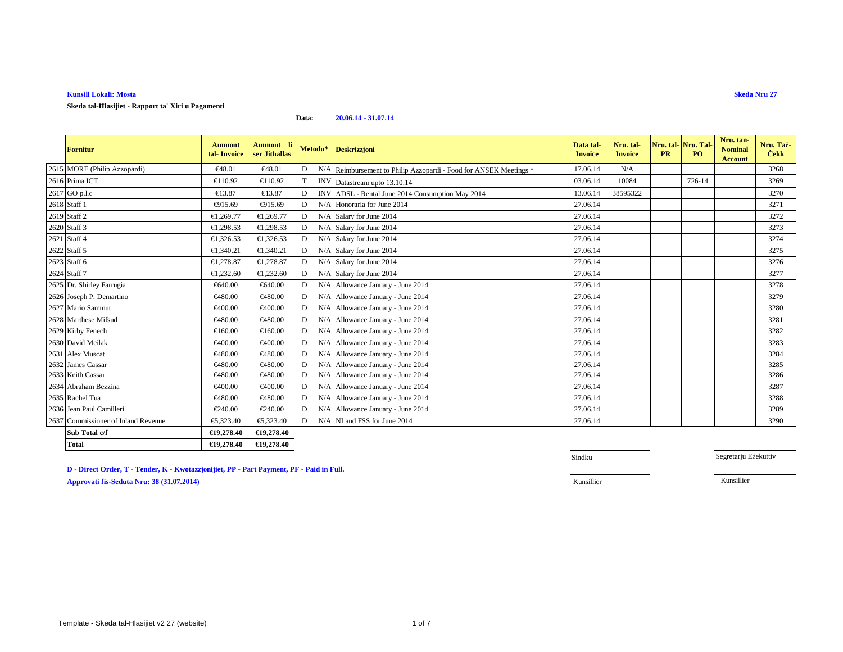**Skeda tal-Ħlasijiet - Rapport ta' Xiri u Pagamenti**

#### **Data:20.06.14 - 31.07.14**

| <b>Fornitur</b>                     | <b>Ammont</b><br>tal-Invoice | Ammont l<br>ser Jithallas |   |     | Metodu* Deskrizzjoni                                              | Data tal-<br><b>Invoice</b> | Nru. tal-<br><b>Invoice</b> | <b>PR</b> | Nru. tal-Nru. Tal<br>P <sub>O</sub> | Nru. tan-<br><b>Nominal</b><br><b>Account</b> | Nru. Tač-<br><b>Cekk</b> |
|-------------------------------------|------------------------------|---------------------------|---|-----|-------------------------------------------------------------------|-----------------------------|-----------------------------|-----------|-------------------------------------|-----------------------------------------------|--------------------------|
| 2615 MORE (Philip Azzopardi)        | €48.01                       | €48.01                    | D |     | N/A Reimbursement to Philip Azzopardi - Food for ANSEK Meetings * | 17.06.14                    | N/A                         |           |                                     |                                               | 3268                     |
| 2616 Prima ICT                      | €110.92                      | €110.92                   |   |     | INV Datastream upto 13.10.14                                      | 03.06.14                    | 10084                       |           | 726-14                              |                                               | 3269                     |
| 2617 GO p.l.c                       | €13.87                       | €13.87                    | Е |     | INV ADSL - Rental June 2014 Consumption May 2014                  | 13.06.14                    | 38595322                    |           |                                     |                                               | 3270                     |
| 2618 Staff 1                        | €915.69                      | €915.69                   |   | N/A | Honoraria for June 2014                                           | 27.06.14                    |                             |           |                                     |                                               | 3271                     |
| 2619 Staff 2                        | €1,269.77                    | €1,269.77                 | D | N/A | Salary for June 2014                                              | 27.06.14                    |                             |           |                                     |                                               | 3272                     |
| 2620 Staff 3                        | €1,298.53                    | €1,298.53                 |   | N/A | Salary for June 2014                                              | 27.06.14                    |                             |           |                                     |                                               | 3273                     |
| 2621 Staff 4                        | €1,326.53                    | €1,326.53                 |   | N/A | Salary for June 2014                                              | 27.06.14                    |                             |           |                                     |                                               | 3274                     |
| 2622 Staff 5                        | €1,340.21                    | €1,340.21                 |   | N/A | Salary for June 2014                                              | 27.06.14                    |                             |           |                                     |                                               | 3275                     |
| 2623 Staff 6                        | €1,278.87                    | €1,278.87                 |   | N/A | Salary for June 2014                                              | 27.06.14                    |                             |           |                                     |                                               | 3276                     |
| $2624$ Staff $7\,$                  | €1,232.60                    | €1,232.60                 |   | N/A | Salary for June 2014                                              | 27.06.14                    |                             |           |                                     |                                               | 3277                     |
| 2625 Dr. Shirley Farrugia           | €640.00                      | €640.00                   | D | N/A | Allowance January - Jun 2014                                      | 27.06.14                    |                             |           |                                     |                                               | 3278                     |
| 2626 Joseph P. Demartino            | €480.00                      | €480.00                   | D | N/A | Allowance January - June 2014                                     | 27.06.14                    |                             |           |                                     |                                               | 3279                     |
| 2627 Mario Sammut                   | €400.00                      | €400.00                   | E | N/A | Allowance January - June 2014                                     | 27.06.14                    |                             |           |                                     |                                               | 3280                     |
| 2628 Marthese Mifsud                | €480.00                      | €480.00                   | г | N/A | Allowance January - June 2014                                     | 27.06.14                    |                             |           |                                     |                                               | 3281                     |
| 2629 Kirby Fenech                   | €160.00                      | €160.00                   | Е | N/A | Allowance January - June 2014                                     | 27.06.14                    |                             |           |                                     |                                               | 3282                     |
| 2630 David Meilak                   | €400.00                      | €400.00                   | Е | N/A | Allowance January - June 2014                                     | 27.06.14                    |                             |           |                                     |                                               | 3283                     |
| 2631 Alex Muscat                    | €480.00                      | €480.00                   | Г | N/A | Allowance January - June 2014                                     | 27.06.14                    |                             |           |                                     |                                               | 3284                     |
| 2632 James Cassar                   | €480.00                      | €480.00                   | D |     | N/A Allowance January - June 2014                                 | 27.06.14                    |                             |           |                                     |                                               | 3285                     |
| 2633 Keith Cassar                   | €480.00                      | €480.00                   | Е | N/A | Allowance January - June 2014                                     | 27.06.14                    |                             |           |                                     |                                               | 3286                     |
| 2634 Abraham Bezzina                | €400.00                      | €400.00                   | D | N/A | Allowance January - June 2014                                     | 27.06.14                    |                             |           |                                     |                                               | 3287                     |
| 2635 Rachel Tua                     | €480.00                      | €480.00                   | D | N/A | Allowance January - June 2014                                     | 27.06.14                    |                             |           |                                     |                                               | 3288                     |
| 2636 Jean Paul Camilleri            | €240.00                      | €240.00                   | D | N/A | Allowance January - June2014                                      | 27.06.14                    |                             |           |                                     |                                               | 3289                     |
| 2637 Commissioner of Inland Revenue | €5,323.40                    | €5,323.40                 | D |     | N/A NI and FSS for the 2014                                       | 27.06.14                    |                             |           |                                     |                                               | 3290                     |
| Sub Total c/f                       | €19,278.40                   | €19,278.40                |   |     |                                                                   |                             |                             |           |                                     |                                               |                          |
| <b>Total</b>                        | €19,278.40                   | €19,278.40                |   |     |                                                                   |                             |                             |           |                                     |                                               |                          |

**D - Direct Order, T - Tender, K - Kwotazzjonijiet, PP - Part Payment, PF - Paid in Full.**

**Approvati fis-Seduta Nru: 38 (31.07.2014)**

Sindku

Segretarju Eżekuttiv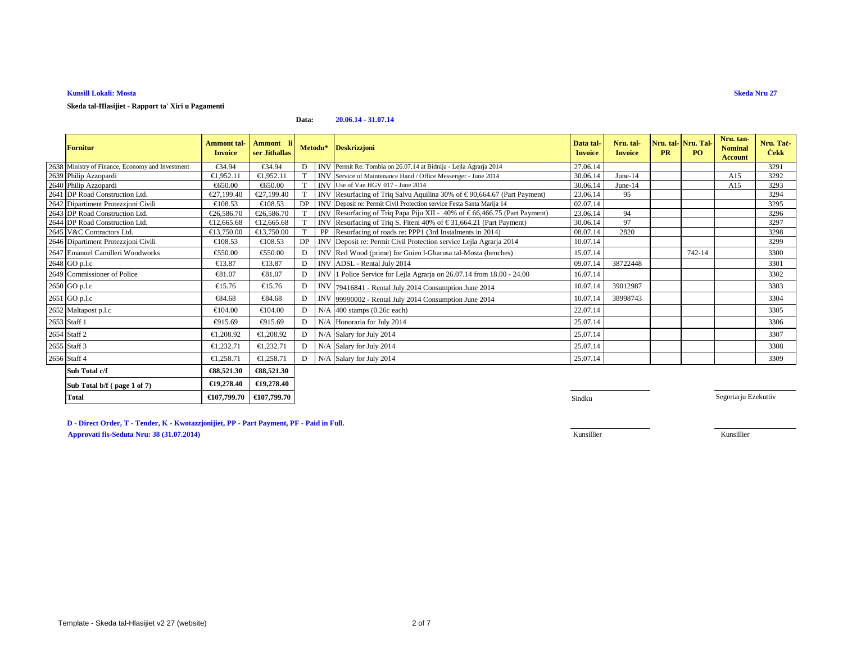**Skeda tal-Ħlasijiet - Rapport ta' Xiri u Pagamenti**

#### **Data:20.06.14 - 31.07.14**

| <b>Fornitur</b>                                  | <b>Ammont tal-</b><br><b>Invoice</b> | Ammont li<br>ser Jithallas |              |            | Metodu* Deskrizzjoni                                                          | Data tal<br><b>Invoice</b> | Nru. tal-<br><b>Invoice</b> | <b>PR</b> | Nru. tal-Nru. Tal-<br>PQ | Nru. tan-<br><b>Nominal</b><br><b>Account</b> | Nru. Tac-<br><b>Cekk</b> |
|--------------------------------------------------|--------------------------------------|----------------------------|--------------|------------|-------------------------------------------------------------------------------|----------------------------|-----------------------------|-----------|--------------------------|-----------------------------------------------|--------------------------|
| 2638 Ministry of Finance, Economy and Investment | €34.94                               | €34.94                     |              |            | INV Permit Re: Tombla on 26.07.14 at Bidnija - Lejla Agrarja 2014             | 27.06.14                   |                             |           |                          |                                               | 3291                     |
| 2639 Philip Azzopardi                            | €1,952.11                            | €1,952.11                  |              |            | INV Service of Maintenance Hand / Office Messenger - June 2014                | 30.06.14                   | June- $14$                  |           |                          | A15                                           | 3292                     |
| 2640 Philip Azzopardi                            | €650.00                              | €650.00                    |              |            | INV Use of Van HGV 017 - June 2014                                            | 30.06.14                   | June-14                     |           |                          | A15                                           | 3293                     |
| 2641 DP Road Construction Ltd.                   | €27,199.40                           | €27,199.40                 |              |            | INV Resurfacing of Triq Salvu Aquilina 30% of $\in$ 90,664.67 (Part Payment)  | 23.06.14                   | 95                          |           |                          |                                               | 3294                     |
| 2642 Dipartiment Protezzjoni Civili              | €108.53                              | €108.53                    | DP           |            | INV Deposit re: Permit Civil Protection service Festa Santa Marija 14         | 02.07.14                   |                             |           |                          |                                               | 3295                     |
| 2643 DP Road Construction Ltd.                   | €26,586.70                           | €26,586.70                 |              |            | INV Resurfacing of Triq Papa Piju XII - 40% of $\in$ 66,466.75 (Part Payment) | 23.06.14                   | 94                          |           |                          |                                               | 3296                     |
| 2644 DP Road Construction Ltd.                   | €12,665.68                           | €12,665.68                 |              | <b>INV</b> | Resurfacing of Triq S. Fiteni 40% of € 31,664.21 (Part Payment)               | 30.06.14                   | 97                          |           |                          |                                               | 3297                     |
| 2645 V&C Contractors Ltd.                        | €13,750.00                           | €13,750.00                 |              |            | Resurfacing of roads re: PPP1 (3rd Instalments in 2014)                       | 08.07.14                   | 2820                        |           |                          |                                               | 3298                     |
| 2646 Dipartiment Protezzjoni Civili              | €108.53                              | €108.53                    | DP           |            | INV Deposit re: Permit Civil Protection service Lejla Agrarja 2014            | 10.07.14                   |                             |           |                          |                                               | 3299                     |
| 2647 Emanuel Camilleri Woodworks                 | €550.00                              | €550.00                    | D            |            | INV Red Wood (prime) for Gnierl-Gharusa tal-Mosta (benches)                   | 15.07.14                   |                             |           | 742-14                   |                                               | 3300                     |
| 2648 GO p.l.c                                    | €13.87                               | €13.87                     | D            |            | INV ADSL - Rental July 2014                                                   | 09.07.14                   | 38722448                    |           |                          |                                               | 3301                     |
| 2649 Commissioner of Police                      | €81.07                               | €81.07                     | D            | <b>INV</b> | 1 Police Service for LejlaAgrarja on 26.07.14 from 18.00 - 24.00              | 16.07.14                   |                             |           |                          |                                               | 3302                     |
| 2650 GO p.l.c                                    | €15.76                               | $\epsilon$ 15.76           | D            |            | INV 79416841 - Rental July 2014 Consumption June 2014                         | 10.07.14                   | 39012987                    |           |                          |                                               | 3303                     |
| 2651 GO p.l.c                                    | €84.68                               | €84.68                     | D            |            | INV 99990002 - Rental July 2014 Consumption June 2014                         | 10.07.14                   | 38998743                    |           |                          |                                               | 3304                     |
| 2652 Maltapost p.l.c                             | €104.00                              | €104.00                    | D            | N/A        | $400$ stamps $(0.26c$ each)                                                   | 22.07.14                   |                             |           |                          |                                               | 3305                     |
| 2653 Staff 1                                     | €915.69                              | €915.69                    | D            | N/A        | Honoraria for July 2014                                                       | 25.07.14                   |                             |           |                          |                                               | 3306                     |
| 2654 Staff 2                                     | €1,208.92                            | €1,208.92                  | $\mathbf{D}$ |            | N/A Salary for July 2014                                                      | 25.07.14                   |                             |           |                          |                                               | 3307                     |
| 2655 Staff 3                                     | €1,232.71                            | €1,232.71                  | D            |            | N/A Salary for July 2014                                                      | 25.07.14                   |                             |           |                          |                                               | 3308                     |
| 2656 Staff 4                                     | €1,258.71                            | €1,258.71                  | $\mathbf{D}$ |            | N/A Salary for July 2014                                                      | 25.07.14                   |                             |           |                          |                                               | 3309                     |
| Sub Total c/f                                    | €88,521.30                           | €88,521.30                 |              |            |                                                                               |                            |                             |           |                          |                                               |                          |
| Sub Total $h/f$ ( page 1 of 7)                   | €19,278,40                           | €19,278.40                 |              |            |                                                                               |                            |                             |           |                          |                                               |                          |

**D - Direct Order, T - Tender, K - Kwotazzjonijiet, PP - Part Payment, PF - Paid in Full.**

**€107,799.70 €107,799.70**

**Approvati fis-Seduta Nru: 38 (31.07.2014)**

**Sub Total b/f ( page 1 of 7)**

**Total**

**Sindku** Sindku Sindku Sindku Sindku Sindku Sindku Sindku Sindku Sindku Sindku Sindku Sindku Sindku Sindku Sindku

Segretarju Eżekuttiv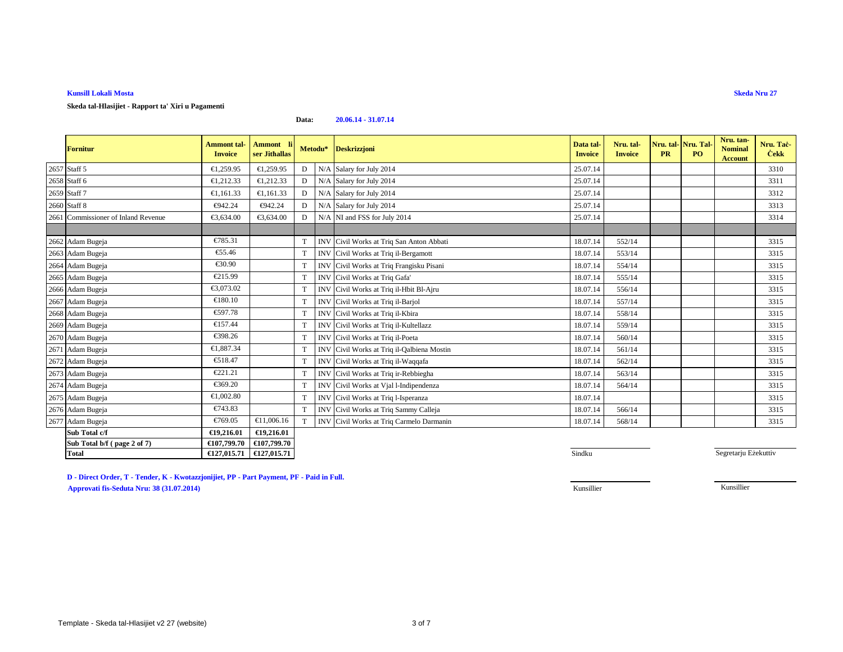**Skeda tal-Hlasijiet - Rapport ta' Xiri u Pagamenti**

#### **Data:20.06.14 - 31.07.14**

| <b>Fornitur</b>                     | <b>Ammont</b> tal-<br><b>Invoice</b> | Ammont li<br>ser Jithallas |             | Metodu* Deskrizzjoni                       | Data tal-<br><b>Invoice</b> | Nru. tal-<br><b>Invoice</b> | Nru. tal-<br><b>PR</b> | Nru. Tal-<br>PO <sub>1</sub> | Nru. tan-<br><b>Nominal</b><br>Account | Nru. Tac-<br><b>Cekk</b> |
|-------------------------------------|--------------------------------------|----------------------------|-------------|--------------------------------------------|-----------------------------|-----------------------------|------------------------|------------------------------|----------------------------------------|--------------------------|
| 2657 Staff 5                        | €1,259.95                            | €1,259.95                  | D           | N/A Salary for July 2014                   | 25.07.14                    |                             |                        |                              |                                        | 3310                     |
| 2658 Staff 6                        | €1,212.33                            | €1,212.33                  | D           | N/A Salary for July 2014                   | 25.07.14                    |                             |                        |                              |                                        | 3311                     |
| 2659 Staff 7                        | €1,161.33                            | €1,161.33                  | D           | N/A Salary for July 2014                   | 25.07.14                    |                             |                        |                              |                                        | 3312                     |
| 2660 Staff 8                        | €942.24                              | €942.24                    | D           | N/A Salary for July 2014                   | 25.07.14                    |                             |                        |                              |                                        | 3313                     |
| 2661 Commissioner of Inland Revenue | €3.634.00                            | €3,634.00                  | D           | N/A NI and FSS for illy 2014               | 25.07.14                    |                             |                        |                              |                                        | 3314                     |
|                                     |                                      |                            |             |                                            |                             |                             |                        |                              |                                        |                          |
| 2662 Adam Bugeja                    | €785.31                              |                            | T           | INV Civil Works at Triq San Anton Abbati   | 18.07.14                    | 552/14                      |                        |                              |                                        | 3315                     |
| 2663 Adam Bugeja                    | €55.46                               |                            | T           | INV Civil Works at Triq il-Bergamott       | 18.07.14                    | 553/14                      |                        |                              |                                        | 3315                     |
| 2664 Adam Bugeja                    | €30.90                               |                            | T           | INV Civil Works at Triq Frangisku Pisani   | 18.07.14                    | 554/14                      |                        |                              |                                        | 3315                     |
| 2665 Adam Bugeja                    | €215.99                              |                            | T           | INV Civil Works at Triq Gafa'              | 18.07.14                    | 555/14                      |                        |                              |                                        | 3315                     |
| 2666 Adam Bugeja                    | €3,073.02                            |                            | T           | INV Civil Works at Triq il-Hbit Bl-Ajru    | 18.07.14                    | 556/14                      |                        |                              |                                        | 3315                     |
| 2667 Adam Bugeja                    | €180.10                              |                            | T           | INV Civil Works at Triq il-Barjol          | 18.07.14                    | 557/14                      |                        |                              |                                        | 3315                     |
| 2668 Adam Bugeja                    | €597.78                              |                            | $\mathbf T$ | INV Civil Works at Triq il-Kbira           | 18.07.14                    | 558/14                      |                        |                              |                                        | 3315                     |
| 2669 Adam Bugeja                    | €157.44                              |                            | T           | INV Civil Works at Triq il-Kultellazz      | 18.07.14                    | 559/14                      |                        |                              |                                        | 3315                     |
| 2670 Adam Bugeja                    | €398.26                              |                            | T           | INV Civil Works at Triq il-Poeta           | 18.07.14                    | 560/14                      |                        |                              |                                        | 3315                     |
| 2671 Adam Bugeja                    | €1,887.34                            |                            | T           | INV Civil Works at Triq il-Qalbiena Mostin | 18.07.14                    | 561/14                      |                        |                              |                                        | 3315                     |
| 2672 Adam Bugeja                    | €518.47                              |                            | T           | INV Civil Works at Triq il-Waqqafa         | 18.07.14                    | 562/14                      |                        |                              |                                        | 3315                     |
| 2673 Adam Bugeja                    | €221.21                              |                            | T           | INV Civil Works at Triq ir-Rebbiegha       | 18.07.14                    | 563/14                      |                        |                              |                                        | 3315                     |
| 2674 Adam Bugeja                    | €369.20                              |                            | T           | INV Civil Works at Vjal l-Indipendenza     | 18.07.14                    | 564/14                      |                        |                              |                                        | 3315                     |
| 2675 Adam Bugeja                    | €1,002.80                            |                            | T           | INV Civil Works at Triq l-Isperanza        | 18.07.14                    |                             |                        |                              |                                        | 3315                     |
| 2676 Adam Bugeja                    | €743.83                              |                            | T           | INV Civil Works at Triq Sammy Calleja      | 18.07.14                    | 566/14                      |                        |                              |                                        | 3315                     |
| 2677 Adam Bugeja                    | €769.05                              | €11,006.16                 | <b>T</b>    | INV Civil Works at Triq Carmelo Darmanin   | 18.07.14                    | 568/14                      |                        |                              |                                        | 3315                     |
| Sub Total c/f                       | €19,216.01                           | €19,216.01                 |             |                                            |                             |                             |                        |                              |                                        |                          |
| Sub Total b/f (page 2 of 7)         | €107,799.70                          | €107,799.70                |             |                                            |                             |                             |                        |                              |                                        |                          |
| <b>Total</b>                        | €127,015.71                          | €127,015.71                |             |                                            | Sindku                      |                             |                        |                              | Segretarju Eżekuttiv                   |                          |

**D - Direct Order, T - Tender, K - Kwotazzjonijiet, PP - Part Payment, PF - Paid in Full.Approvati fis-Seduta Nru: 38 (31.07.2014)**Kunsillier

Kunsillier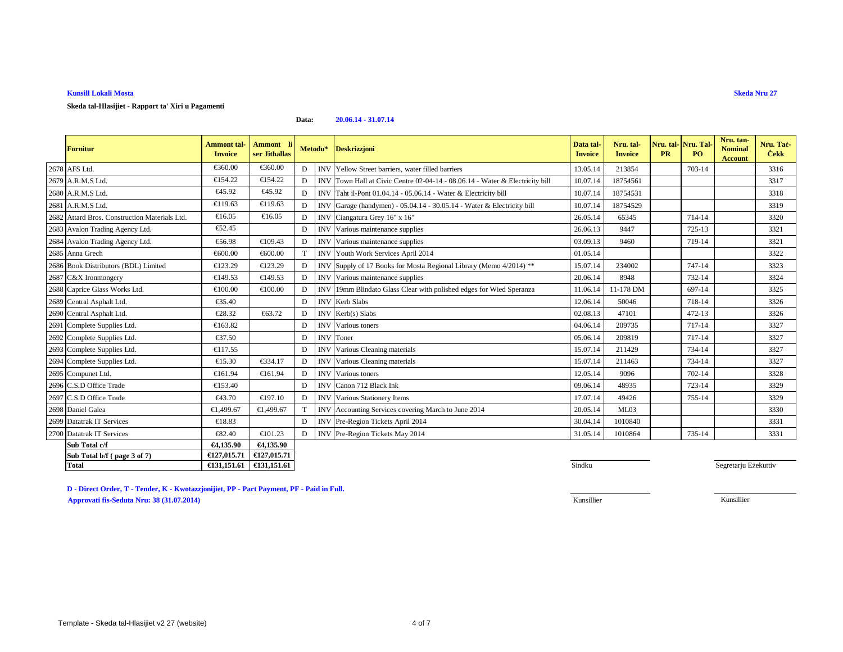**Skeda tal-Hlasijiet - Rapport ta' Xiri u Pagamenti**

#### **Data:20.06.14 - 31.07.14**

| <b>Fornitur</b>                               | <b>Ammont</b> tal-<br><b>Invoice</b> | Ammont l<br>ser Jithallas | Metodu* |            | <b>Deskrizzjoni</b>                                                          | Data tal-<br><b>Invoice</b> | Nru. tal-<br><b>Invoice</b> | Nru. tal-<br><b>PR</b> | Nru. Tal-<br>P <sub>O</sub> | Nru. tan-<br><b>Nominal</b><br><b>Account</b> | Nru. Tac-<br><b>Cekk</b> |
|-----------------------------------------------|--------------------------------------|---------------------------|---------|------------|------------------------------------------------------------------------------|-----------------------------|-----------------------------|------------------------|-----------------------------|-----------------------------------------------|--------------------------|
| 2678 AFS Ltd.                                 | €360.00                              | €360.00                   | D       |            | INV Yellow Street barriers, water filled barriers                            | 13.05.14                    | 213854                      |                        | 703-14                      |                                               | 3316                     |
| 2679 A.R.M.S Ltd.                             | €154.22                              | €154.22                   | D       |            | INV Town Hall at Civic Centre 02-04-14 - 08.06.14 - Water & Electricity bill | 10.07.14                    | 18754561                    |                        |                             |                                               | 3317                     |
| 2680 A.R.M.S Ltd.                             | €45.92                               | €45.92                    | D       |            | INV Taht il-Pont 01.04.14 - 05.06.14 - Water & Electricity bill              | 10.07.14                    | 18754531                    |                        |                             |                                               | 3318                     |
| 2681 A.R.M.S Ltd.                             | €119.63                              | €119.63                   | D       | <b>INV</b> | Garage (handymen) - 05.04.14 - 30.05.14 - Water & Electricity bill           | 10.07.14                    | 18754529                    |                        |                             |                                               | 3319                     |
| 2682 Attard Bros. Construction Materials Ltd. | €16.05                               | €16.05                    | D       | <b>INV</b> | Ciangatura Grey 16" x 16"                                                    | 26.05.14                    | 65345                       |                        | 714-14                      |                                               | 3320                     |
| 2683 Avalon Trading Agency Ltd.               | €52.45                               |                           | D       | <b>INV</b> | Various maintenance supplies                                                 | 26.06.13                    | 9447                        |                        | 725-13                      |                                               | 3321                     |
| 2684 Avalon Trading Agency Ltd.               | €56.98                               | €109.43                   | Е       | <b>INV</b> | Various maintenancesupplies                                                  | 03.09.13                    | 9460                        |                        | 719-14                      |                                               | 3321                     |
| 2685 Anna Grech                               | €600.00                              | €600.00                   |         | <b>INV</b> | Youth Work Services April 2014                                               | 01.05.14                    |                             |                        |                             |                                               | 3322                     |
| 2686 Book Distributors (BDL) Limited          | €123.29                              | €123.29                   | D       | <b>INV</b> | Supply of 17 Books for Mota Regional Library (Memo 4/2014) **                | 15.07.14                    | 234002                      |                        | 747-14                      |                                               | 3323                     |
| 2687 C&X Ironmongery                          | €149.53                              | €149.53                   | D       | <b>INV</b> | Various maintenance supplies                                                 | 20.06.14                    | 8948                        |                        | 732-14                      |                                               | 3324                     |
| 2688 Caprice Glass Works Ltd.                 | €100.00                              | €100.00                   | D       | <b>INV</b> | 19mm Blindato Glass Clearwith polished edges for Wied Speranza               | 11.06.14                    | 11-178 DM                   |                        | 697-14                      |                                               | 3325                     |
| 2689 Central Asphalt Ltd.                     | €35.40                               |                           | D       | <b>INV</b> | Kerb Slabs                                                                   | 12.06.14                    | 50046                       |                        | 718-14                      |                                               | 3326                     |
| 2690 Central Asphalt Ltd.                     | €28.32                               | €63.72                    |         | <b>INV</b> | Kerb(s) Slabs                                                                | 02.08.13                    | 47101                       |                        | $472 - 13$                  |                                               | 3326                     |
| 2691 Complete Supplies Ltd.                   | €163.82                              |                           | D       | <b>INV</b> | Various toners                                                               | 04.06.14                    | 209735                      |                        | 717-14                      |                                               | 3327                     |
| 2692 Complete Supplies Ltd.                   | €37.50                               |                           | D       | <b>INV</b> | Toner                                                                        | 05.06.14                    | 209819                      |                        | 717-14                      |                                               | 3327                     |
| 2693 Complete Supplies Ltd.                   | €117.55                              |                           | D       | <b>INV</b> | Various Cleaning materials                                                   | 15.07.14                    | 211429                      |                        | 734-14                      |                                               | 3327                     |
| 2694 Complete Supplies Ltd.                   | €15.30                               | €334.17                   | D       | <b>INV</b> | Various Cleaning materials                                                   | 15.07.14                    | 211463                      |                        | 734-14                      |                                               | 3327                     |
| 2695 Compunet Ltd.                            | €161.94                              | €161.94                   | D       | <b>INV</b> | Various toners                                                               | 12.05.14                    | 9096                        |                        | 702-14                      |                                               | 3328                     |
| 2696 C.S.D Office Trade                       | €153.40                              |                           | D       |            | INV Canon 712 Black Ink                                                      | 09.06.14                    | 48935                       |                        | 723-14                      |                                               | 3329                     |
| 2697 C.S.D Office Trade                       | €43.70                               | €197.10                   | D       | <b>INV</b> | Various Stationery Items                                                     | 17.07.14                    | 49426                       |                        | 755-14                      |                                               | 3329                     |
| 2698 Daniel Galea                             | €1,499.67                            | €1,499.67                 |         | <b>INV</b> | Accounting Services covering March to June 2014                              | 20.05.14                    | ML03                        |                        |                             |                                               | 3330                     |
| 2699 Datatrak IT Services                     | €18.83                               |                           | D       |            | INV Pre-Region Tickets April 2014                                            | 30.04.14                    | 1010840                     |                        |                             |                                               | 3331                     |
| 2700 Datatrak IT Services                     | €82.40                               | €101.23                   | D       |            | INV Pre-Region Tickets May 2014                                              | 31.05.14                    | 1010864                     |                        | 735-14                      |                                               | 3331                     |
| Sub Total c/f                                 | €4,135.90                            | €4.135.90                 |         |            |                                                                              |                             |                             |                        |                             |                                               |                          |
| Sub Total b/f (page 3 of 7)                   | €127,015.71                          | €127,015.71               |         |            |                                                                              |                             |                             |                        |                             |                                               |                          |
| Total                                         | €131,151.61                          | €131,151.61               |         |            |                                                                              | Sindku                      |                             |                        |                             | Segretarju Eżekuttiv                          |                          |

**D - Direct Order, T - Tender, K - Kwotazzjonijiet, PP - Part Payment, PF - Paid in Full.Approvati fis-Seduta Nru: 38 (31.07.2014)**Kunsillier Kunsillier

**Skeda Nru 27**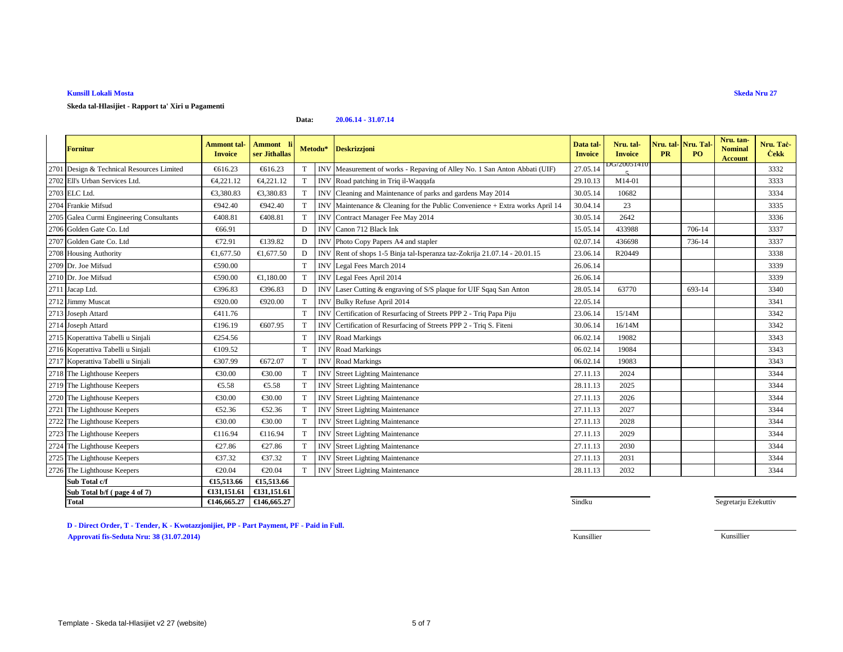**Skeda tal-Hlasijiet - Rapport ta' Xiri u Pagamenti**

#### **Data:20.06.14 - 31.07.14**

|      | <b>Fornitur</b>                          | <b>Ammont</b> tal-<br><b>Invoice</b> | <b>Ammont</b><br>ser Jithallas |             | Metodu*    | <b>Deskrizzjoni</b>                                                      | Data tal-<br><b>Invoice</b> | Nru. tal-<br><b>Invoice</b> | Nru. tal-Nru. Tal-<br><b>PR</b> | PO     | Nru. tan-<br><b>Nominal</b><br><b>Account</b> | Nru. Tac-<br><b>Cekk</b> |
|------|------------------------------------------|--------------------------------------|--------------------------------|-------------|------------|--------------------------------------------------------------------------|-----------------------------|-----------------------------|---------------------------------|--------|-----------------------------------------------|--------------------------|
| 2701 | Design & Technical Resources Limited     | €616.23                              | €616.23                        |             | <b>INV</b> | Measurment of works - Repaving of Alley No. 1 San Anton Abbati (UIF)     | 27.05.14                    | DG/20051410                 |                                 |        |                                               | 3332                     |
|      | 2702 Ell's Urban Services Ltd.           | €4,221.12                            | €4,221.12                      | T           |            | INV Road patching in Tri il-Waqqafa                                      | 29.10.13                    | M14-01                      |                                 |        |                                               | 3333                     |
|      | 2703 ELC Ltd.                            | €3,380.83                            | €3,380.83                      |             | <b>INV</b> | Cleaning and Maintenance of parks and ardens May 2014                    | 30.05.14                    | 10682                       |                                 |        |                                               | 3334                     |
|      | 2704 Frankie Mifsud                      | €942.40                              | €942.40                        |             | <b>INV</b> | Maintenance & Cleaning for the Public Convenience + Extra works April 14 | 30.04.14                    | 23                          |                                 |        |                                               | 3335                     |
|      | 2705 Galea Curmi Engineering Consultants | €408.81                              | €408.81                        |             | <b>INV</b> | ContractManager Fee May 2014                                             | 30.05.14                    | 2642                        |                                 |        |                                               | 3336                     |
|      | 2706 Golden Gate Co. Ltd                 | €66.91                               |                                | D           | <b>INV</b> | Canon 712 Black Ink                                                      | 15.05.14                    | 433988                      |                                 | 706-14 |                                               | 3337                     |
|      | 2707 Golden Gate Co. Ltd                 | €72.91                               | €139.82                        | D           | <b>INV</b> | Photo Copy Papers A4 and stapler                                         | 02.07.14                    | 436698                      |                                 | 736-14 |                                               | 3337                     |
|      | 2708 Housing Authority                   | €1,677.50                            | €1.677.50                      | D           | <b>INV</b> | Rent of shops 1-5 Binja tal-Iperanza taz-Zokrija 21.07.14 - 20.01.15     | 23.06.14                    | R20449                      |                                 |        |                                               | 3338                     |
|      | 2709 Dr. Joe Mifsud                      | €590.00                              |                                | T           | <b>INV</b> | Legal Fees March 2014                                                    | 26.06.14                    |                             |                                 |        |                                               | 3339                     |
|      | 2710 Dr. Joe Mifsud                      | €590.00                              | €1,180.00                      | $\mathbf T$ | <b>INV</b> | Legal Fees April 2014                                                    | 26.06.14                    |                             |                                 |        |                                               | 3339                     |
|      | 2711 Jacap Ltd.                          | €396.83                              | €396.83                        | D           | <b>INV</b> | Laser Cutting & engraving of S/S plque for UIF Sqaq San Anton            | 28.05.14                    | 63770                       |                                 | 693-14 |                                               | 3340                     |
|      | 2712 Jimmy Muscat                        | €920.00                              | €920.00                        | T           | <b>INV</b> | Bulky Refuse April 2014                                                  | 22.05.14                    |                             |                                 |        |                                               | 3341                     |
|      | 2713 Joseph Attard                       | €411.76                              |                                | T           | <b>INV</b> | Certification of Resurfacing of Streets PPP 2 - Triq Papa Piju           | 23.06.14                    | 15/14M                      |                                 |        |                                               | 3342                     |
|      | 2714 Joseph Attard                       | €196.19                              | €607.95                        |             | <b>INV</b> | Certification of Resurfacing of Steets PPP 2 - Triq S. Fiteni            | 30.06.14                    | 16/14M                      |                                 |        |                                               | 3342                     |
|      | 2715 Koperattiva Tabelli u Sinjali       | €254.56                              |                                | T           | <b>INV</b> | <b>Road Markings</b>                                                     | 06.02.14                    | 19082                       |                                 |        |                                               | 3343                     |
|      | 2716 Koperattiva Tabelli u Sinjali       | €109.52                              |                                | T           | <b>INV</b> | Road Markings                                                            | 06.02.14                    | 19084                       |                                 |        |                                               | 3343                     |
|      | 2717 Koperattiva Tabelli u Sinjali       | €307.99                              | €672.07                        | $\mathbf T$ | <b>INV</b> | <b>Road Markings</b>                                                     | 06.02.14                    | 19083                       |                                 |        |                                               | 3343                     |
|      | 2718 The Lighthouse Keepers              | €30.00                               | €30.00                         |             | <b>INV</b> | <b>Street Lighting Mainteance</b>                                        | 27.11.13                    | 2024                        |                                 |        |                                               | 3344                     |
|      | 2719 The Lighthouse Keepers              | €5.58                                | €5.58                          | T           | <b>INV</b> | <b>Street Lighting Mainteance</b>                                        | 28.11.13                    | 2025                        |                                 |        |                                               | 3344                     |
|      | 2720 The Lighthouse Keepers              | €30.00                               | €30.00                         |             | <b>IN</b>  | <b>Street Lighting Mainteance</b>                                        | 27.11.13                    | 2026                        |                                 |        |                                               | 3344                     |
|      | 2721 The Lighthouse Keepers              | €52.36                               | €52.36                         | T           | <b>INV</b> | <b>Street Lighting Mainteance</b>                                        | 27.11.13                    | 2027                        |                                 |        |                                               | 3344                     |
|      | 2722 The Lighthouse Keepers              | €30.00                               | €30.00                         |             | <b>INV</b> | <b>Street Lighting Mainteance</b>                                        | 27.11.13                    | 2028                        |                                 |        |                                               | 3344                     |
|      | 2723 The Lighthouse Keepers              | €116.94                              | €116.94                        |             | <b>INV</b> | <b>Street Lighting Mainteance</b>                                        | 27.11.13                    | 2029                        |                                 |        |                                               | 3344                     |
|      | 2724 The Lighthouse Keepers              | €27.86                               | €27.86                         |             | <b>INV</b> | <b>Street Lighting Mainteance</b>                                        | 27.11.13                    | 2030                        |                                 |        |                                               | 3344                     |
|      | 2725 The Lighthouse Keepers              | €37.32                               | €37.32                         |             | <b>INV</b> | <b>Street Lighting Mainteance</b>                                        | 27.11.13                    | 2031                        |                                 |        |                                               | 3344                     |
|      | 2726 The Lighthouse Keepers              | €20.04                               | €20.04                         | T           | <b>INV</b> | <b>Street Lighting Mainteance</b>                                        | 28.11.13                    | 2032                        |                                 |        |                                               | 3344                     |
|      | Sub Total c/f                            | €15,513.66                           | €15,513.66                     |             |            |                                                                          |                             |                             |                                 |        |                                               |                          |
|      | Sub Total b/f (page 4 of 7)              | €131,151.61                          | €131,151.61                    |             |            |                                                                          |                             |                             |                                 |        |                                               |                          |
|      | <b>Total</b>                             | €146,665.27                          | €146,665.27                    |             |            |                                                                          | Sindku                      |                             |                                 |        | Segretarju Eżekuttiv                          |                          |

**D - Direct Order, T - Tender, K - Kwotazzjonijiet, PP - Part Payment, PF - Paid in Full.**

**Approvati fis-Seduta Nru: 38 (31.07.2014)**

**n** Sindku

**Skeda Nru 27**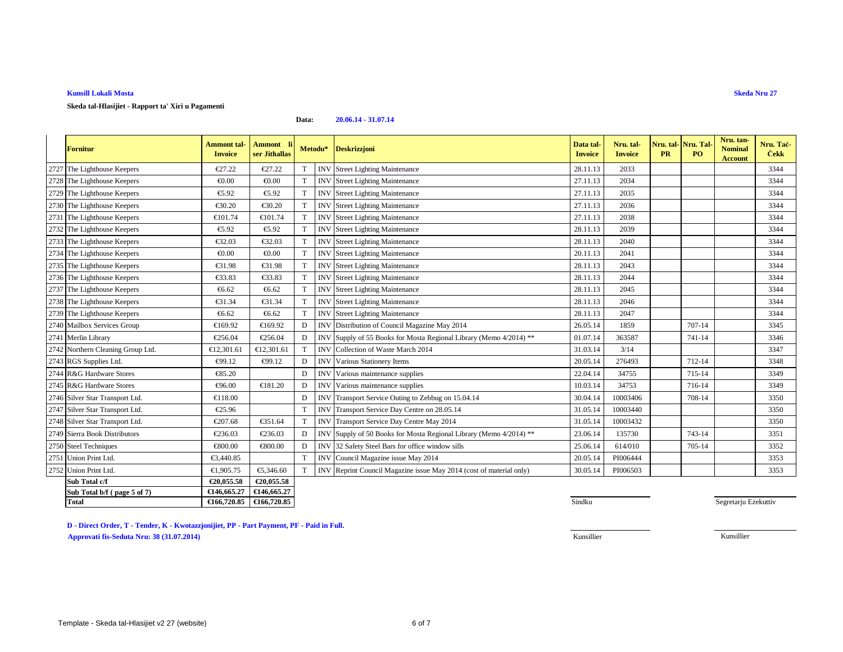**Skeda tal-Hlasijiet - Rapport ta' Xiri u Pagamenti**

#### **Data:20.06.14 - 31.07.14**

| <b>Fornitur</b>                   | <b>Ammont</b> tal-<br><b>Invoice</b> | <b>Ammont</b><br>ser Jithallas |             | Metodu*    | <b>Deskrizzjoni</b>                                             | Data tal-<br><b>Invoice</b> | Nru. tal-<br><b>Invoice</b> | Nru. tal- Nru. Tal<br><b>PR</b> | P <sub>O</sub> | Nru. tan-<br><b>Nominal</b><br><b>Account</b> | Nru. Tac-<br><b>Cekk</b> |
|-----------------------------------|--------------------------------------|--------------------------------|-------------|------------|-----------------------------------------------------------------|-----------------------------|-----------------------------|---------------------------------|----------------|-----------------------------------------------|--------------------------|
| 2727 The Lighthouse Keepers       | €27.22                               | €27.22                         | T           | <b>INV</b> | Street Lighting Mainteance                                      | 28.11.13                    | 2033                        |                                 |                |                                               | 3344                     |
| 2728 The Lighthouse Keepers       | € $0.00$                             | € $0.00$                       | T           | <b>INV</b> | <b>Street Lighting Mainteance</b>                               | 27.11.13                    | 2034                        |                                 |                |                                               | 3344                     |
| 2729 The Lighthouse Keepers       | €5.92                                | €5.92                          | T           | <b>INV</b> | <b>Street Lighting Mainteance</b>                               | 27.11.13                    | 2035                        |                                 |                |                                               | 3344                     |
| 2730 The Lighthouse Keepers       | €30.20                               | €30.20                         | T           | <b>INV</b> | <b>Street Lighting Mainteance</b>                               | 27.11.13                    | 2036                        |                                 |                |                                               | 3344                     |
| 2731 The Lighthouse Keepers       | €101.74                              | €101.74                        | $\mathbf T$ | <b>INV</b> | <b>Street Lighting Mainteance</b>                               | 27.11.13                    | 2038                        |                                 |                |                                               | 3344                     |
| 2732 The Lighthouse Keepers       | €5.92                                | €5.92                          | T           | <b>INV</b> | <b>Street Lighting Mainteance</b>                               | 28.11.13                    | 2039                        |                                 |                |                                               | 3344                     |
| 2733 The Lighthouse Keepers       | €32.03                               | €32.03                         | $\mathbf T$ | <b>INV</b> | <b>Street Lighting Mainteance</b>                               | 28.11.13                    | 2040                        |                                 |                |                                               | 3344                     |
| 2734 The Lighthouse Keepers       | € $0.00$                             | € $0.00$                       | $\mathbf T$ | <b>INV</b> | <b>Street Lighting Mainteance</b>                               | 20.11.13                    | 2041                        |                                 |                |                                               | 3344                     |
| 2735 The Lighthouse Keepers       | €31.98                               | €31.98                         | T           | <b>INV</b> | <b>Street Lighting Mainteance</b>                               | 28.11.13                    | 2043                        |                                 |                |                                               | 3344                     |
| 2736 The Lighthouse Keepers       | €33.83                               | €33.83                         | T           | <b>INV</b> | <b>Street Lighting Mainteance</b>                               | 28.11.13                    | 2044                        |                                 |                |                                               | 3344                     |
| 2737 The Lighthouse Keepers       | €6.62                                | €6.62                          | T           | <b>INV</b> | <b>Street Lighting Mainteance</b>                               | 28.11.13                    | 2045                        |                                 |                |                                               | 3344                     |
| 2738 The Lighthouse Keepers       | €31.34                               | €31.34                         | T           | <b>INV</b> | <b>Street Lighting Mainteance</b>                               | 28.11.13                    | 2046                        |                                 |                |                                               | 3344                     |
| 2739 The Lighthouse Keepers       | €6.62                                | €6.62                          | $\mathbf T$ | <b>INV</b> | <b>Street Lighting Mainteance</b>                               | 28.11.13                    | 2047                        |                                 |                |                                               | 3344                     |
| 2740 Mailbox Services Group       | €169.92                              | €169.92                        | D           | <b>INV</b> | Distribution of Council Magzine May 2014                        | 26.05.14                    | 1859                        |                                 | 707-14         |                                               | 3345                     |
| 2741 Merlin Library               | €256.04                              | €256.04                        | D           | <b>INV</b> | Supply of 55 Books for Mosta Regional Ibrary (Memo 4/2014) **   | 01.07.14                    | 363587                      |                                 | 741-14         |                                               | 3346                     |
| 2742 Northern Cleaning Group Ltd. | €12,301.61                           | €12,301.61                     | T           | <b>INV</b> | Collection of WasteMarch 2014                                   | 31.03.14                    | 3/14                        |                                 |                |                                               | 3347                     |
| 2743 RGS Supplies Ltd.            | €99.12                               | €99.12                         | D           | <b>INV</b> | Various Stationery Items                                        | 20.05.14                    | 276493                      |                                 | 712-14         |                                               | 3348                     |
| 2744 R&G Hardware Stores          | €85.20                               |                                | D           | <b>INV</b> | Various maintenance supplies                                    | 22.04.14                    | 34755                       |                                 | 715-14         |                                               | 3349                     |
| 2745 R&G Hardware Stores          | €96.00                               | €181.20                        | D           | <b>INV</b> | Various maintenance supplies                                    | 10.03.14                    | 34753                       |                                 | 716-14         |                                               | 3349                     |
| 2746 Silver Star Transport Ltd.   | €118.00                              |                                | D           | <b>INV</b> | Transport Service Outing to Zebbug on 15.04.14                  | 30.04.14                    | 10003406                    |                                 | 708-14         |                                               | 3350                     |
| 2747 Silver Star Transport Ltd.   | €25.96                               |                                | T           | <b>INV</b> | Transport Service Day Centre on 28.05.14                        | 31.05.14                    | 10003440                    |                                 |                |                                               | 3350                     |
| 2748 Silver Star Transport Ltd.   | €207.68                              | €351.64                        | T           | <b>INV</b> | Transport Service DayCentre May 2014                            | 31.05.14                    | 10003432                    |                                 |                |                                               | 3350                     |
| 2749 Sierra Book Distributors     | €236.03                              | €236.03                        | D           | <b>INV</b> | Supply of 50 Books for Mosta Reginal Library (Memo 4/2014) **   | 23.06.14                    | 135730                      |                                 | 743-14         |                                               | 3351                     |
| 2750 Steel Techniques             | €800.00                              | €800.00                        | D           | <b>INV</b> | 32 Safety Steel Bars for officewindow sills                     | 25.06.14                    | 614/010                     |                                 | 705-14         |                                               | 3352                     |
| 2751 Union Print Ltd.             | €3,440.85                            |                                | T           |            | INV Council Magazine issue May 2014                             | 20.05.14                    | PI006444                    |                                 |                |                                               | 3353                     |
| 2752 Union Print Ltd.             | €1,905.75                            | €5,346.60                      | T           | <b>INV</b> | Reprint Council Magazine is ne May 2014 (cost of material only) | 30.05.14                    | PI006503                    |                                 |                |                                               | 3353                     |
| Sub Total c/f                     | €20,055.58                           | €20,055.58                     |             |            |                                                                 |                             |                             |                                 |                |                                               |                          |
| Sub Total b/f (page 5 of 7)       | €146,665.27                          | €146,665.27                    |             |            |                                                                 |                             |                             |                                 |                |                                               |                          |
| <b>Total</b>                      | €166,720.85                          | €166,720.85                    |             |            |                                                                 | Sindku                      |                             |                                 |                | Segretarju Eżekuttiv                          |                          |

**D - Direct Order, T - Tender, K - Kwotazzjonijiet, PP - Part Payment, PF - Paid in Full.**

**Approvati fis-Seduta Nru: 38 (31.07.2014)**

**S**indku

**Skeda Nru 27**